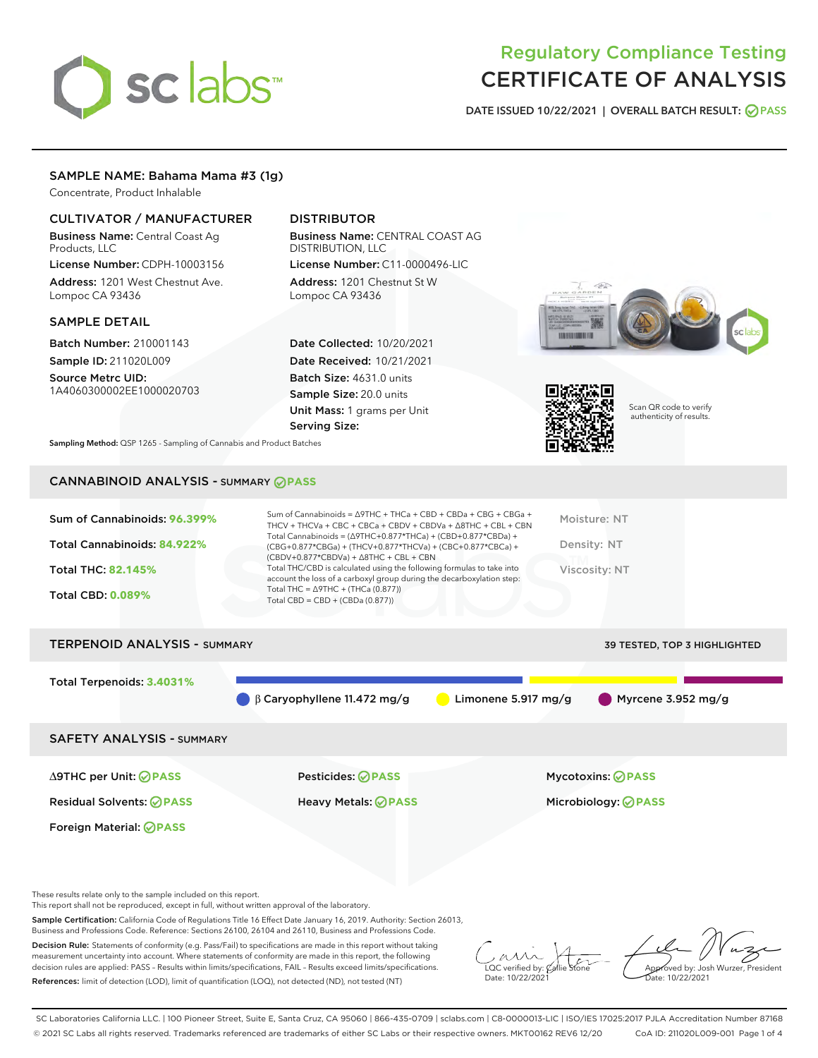# sclabs<sup>\*</sup>

# Regulatory Compliance Testing CERTIFICATE OF ANALYSIS

DATE ISSUED 10/22/2021 | OVERALL BATCH RESULT: @ PASS

## SAMPLE NAME: Bahama Mama #3 (1g)

Concentrate, Product Inhalable

## CULTIVATOR / MANUFACTURER

Business Name: Central Coast Ag Products, LLC

License Number: CDPH-10003156 Address: 1201 West Chestnut Ave. Lompoc CA 93436

#### SAMPLE DETAIL

Batch Number: 210001143 Sample ID: 211020L009

Source Metrc UID: 1A4060300002EE1000020703

# DISTRIBUTOR

Business Name: CENTRAL COAST AG DISTRIBUTION, LLC License Number: C11-0000496-LIC

Address: 1201 Chestnut St W Lompoc CA 93436

Date Collected: 10/20/2021 Date Received: 10/21/2021 Batch Size: 4631.0 units Sample Size: 20.0 units Unit Mass: 1 grams per Unit Serving Size:





Scan QR code to verify authenticity of results.

Sampling Method: QSP 1265 - Sampling of Cannabis and Product Batches

# CANNABINOID ANALYSIS - SUMMARY **PASS**

| Sum of Cannabinoids: 96.399%<br>Total Cannabinoids: 84.922% | Sum of Cannabinoids = $\triangle$ 9THC + THCa + CBD + CBDa + CBG + CBGa +<br>THCV + THCVa + CBC + CBCa + CBDV + CBDVa + $\land$ 8THC + CBL + CBN<br>Total Cannabinoids = $(\Delta$ 9THC+0.877*THCa) + (CBD+0.877*CBDa) +<br>(CBG+0.877*CBGa) + (THCV+0.877*THCVa) + (CBC+0.877*CBCa) +<br>$(CBDV+0.877*CBDVa) + \Delta 8THC + CBL + CBN$ | Moisture: NT<br>Density: NT         |
|-------------------------------------------------------------|------------------------------------------------------------------------------------------------------------------------------------------------------------------------------------------------------------------------------------------------------------------------------------------------------------------------------------------|-------------------------------------|
| <b>Total THC: 82.145%</b>                                   | Total THC/CBD is calculated using the following formulas to take into<br>account the loss of a carboxyl group during the decarboxylation step:                                                                                                                                                                                           | Viscosity: NT                       |
| <b>Total CBD: 0.089%</b>                                    | Total THC = $\triangle$ 9THC + (THCa (0.877))<br>Total CBD = $CBD + (CBDa (0.877))$                                                                                                                                                                                                                                                      |                                     |
| <b>TERPENOID ANALYSIS - SUMMARY</b>                         |                                                                                                                                                                                                                                                                                                                                          | <b>39 TESTED, TOP 3 HIGHLIGHTED</b> |

Total Terpenoids: **3.4031%** β Caryophyllene 11.472 mg/g Limonene 5.917 mg/g Myrcene 3.952 mg/g

SAFETY ANALYSIS - SUMMARY

∆9THC per Unit: **PASS** Pesticides: **PASS** Mycotoxins: **PASS**

Foreign Material: **PASS**

Residual Solvents: **PASS** Heavy Metals: **PASS** Microbiology: **PASS**

These results relate only to the sample included on this report.

This report shall not be reproduced, except in full, without written approval of the laboratory.

Sample Certification: California Code of Regulations Title 16 Effect Date January 16, 2019. Authority: Section 26013, Business and Professions Code. Reference: Sections 26100, 26104 and 26110, Business and Professions Code.

Decision Rule: Statements of conformity (e.g. Pass/Fail) to specifications are made in this report without taking measurement uncertainty into account. Where statements of conformity are made in this report, the following decision rules are applied: PASS – Results within limits/specifications, FAIL – Results exceed limits/specifications. References: limit of detection (LOD), limit of quantification (LOQ), not detected (ND), not tested (NT)

 $\Omega$ C verified by: ( Date: 10/22/2021

Approved by: Josh Wurzer, President Date: 10/22/2021

SC Laboratories California LLC. | 100 Pioneer Street, Suite E, Santa Cruz, CA 95060 | 866-435-0709 | sclabs.com | C8-0000013-LIC | ISO/IES 17025:2017 PJLA Accreditation Number 87168 © 2021 SC Labs all rights reserved. Trademarks referenced are trademarks of either SC Labs or their respective owners. MKT00162 REV6 12/20 CoA ID: 211020L009-001 Page 1 of 4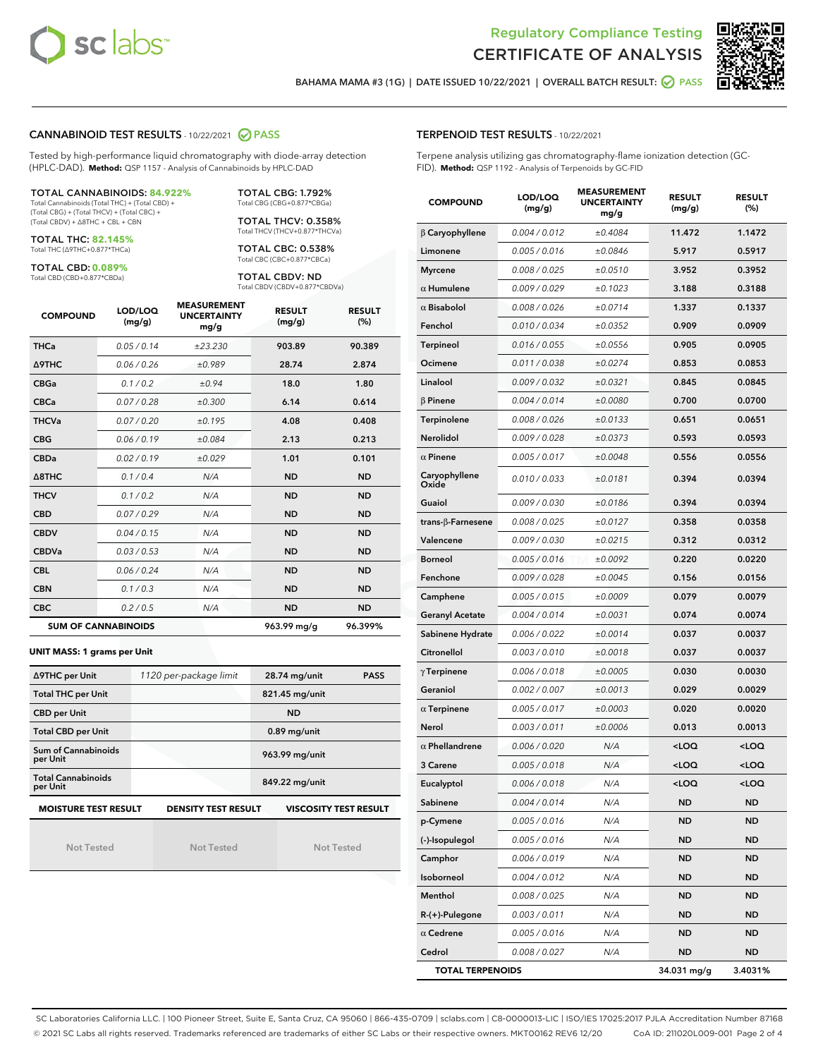



BAHAMA MAMA #3 (1G) | DATE ISSUED 10/22/2021 | OVERALL BATCH RESULT: 2 PASS

#### CANNABINOID TEST RESULTS - 10/22/2021 2 PASS

Tested by high-performance liquid chromatography with diode-array detection (HPLC-DAD). **Method:** QSP 1157 - Analysis of Cannabinoids by HPLC-DAD

#### TOTAL CANNABINOIDS: **84.922%**

Total Cannabinoids (Total THC) + (Total CBD) + (Total CBG) + (Total THCV) + (Total CBC) + (Total CBDV) + ∆8THC + CBL + CBN

TOTAL THC: **82.145%** Total THC (∆9THC+0.877\*THCa)

TOTAL CBD: **0.089%**

Total CBD (CBD+0.877\*CBDa)

TOTAL CBG: 1.792% Total CBG (CBG+0.877\*CBGa)

TOTAL THCV: 0.358% Total THCV (THCV+0.877\*THCVa)

TOTAL CBC: 0.538% Total CBC (CBC+0.877\*CBCa)

TOTAL CBDV: ND Total CBDV (CBDV+0.877\*CBDVa)

| <b>COMPOUND</b>  | LOD/LOQ<br>(mg/g)          | <b>MEASUREMENT</b><br><b>UNCERTAINTY</b><br>mg/g | <b>RESULT</b><br>(mg/g) | <b>RESULT</b><br>(%) |
|------------------|----------------------------|--------------------------------------------------|-------------------------|----------------------|
| <b>THCa</b>      | 0.05/0.14                  | ±23.230                                          | 903.89                  | 90.389               |
| <b>A9THC</b>     | 0.06 / 0.26                | ±0.989                                           | 28.74                   | 2.874                |
| <b>CBGa</b>      | 0.1 / 0.2                  | ±0.94                                            | 18.0                    | 1.80                 |
| <b>CBCa</b>      | 0.07/0.28                  | ±0.300                                           | 6.14                    | 0.614                |
| <b>THCVa</b>     | 0.07/0.20                  | ±0.195                                           | 4.08                    | 0.408                |
| <b>CBG</b>       | 0.06/0.19                  | ±0.084                                           | 2.13                    | 0.213                |
| <b>CBDa</b>      | 0.02/0.19                  | ±0.029                                           | 1.01                    | 0.101                |
| $\triangle$ 8THC | 0.1 / 0.4                  | N/A                                              | <b>ND</b>               | <b>ND</b>            |
| <b>THCV</b>      | 0.1/0.2                    | N/A                                              | <b>ND</b>               | <b>ND</b>            |
| <b>CBD</b>       | 0.07/0.29                  | N/A                                              | <b>ND</b>               | <b>ND</b>            |
| <b>CBDV</b>      | 0.04 / 0.15                | N/A                                              | <b>ND</b>               | <b>ND</b>            |
| <b>CBDVa</b>     | 0.03 / 0.53                | N/A                                              | <b>ND</b>               | <b>ND</b>            |
| <b>CBL</b>       | 0.06 / 0.24                | N/A                                              | <b>ND</b>               | <b>ND</b>            |
| <b>CBN</b>       | 0.1/0.3                    | N/A                                              | <b>ND</b>               | <b>ND</b>            |
| <b>CBC</b>       | 0.2 / 0.5                  | N/A                                              | <b>ND</b>               | <b>ND</b>            |
|                  | <b>SUM OF CANNABINOIDS</b> |                                                  | 963.99 mg/g             | 96.399%              |

#### **UNIT MASS: 1 grams per Unit**

| ∆9THC per Unit                        | 1120 per-package limit     | 28.74 mg/unit<br><b>PASS</b> |  |  |
|---------------------------------------|----------------------------|------------------------------|--|--|
| <b>Total THC per Unit</b>             |                            | 821.45 mg/unit               |  |  |
| <b>CBD per Unit</b>                   |                            | <b>ND</b>                    |  |  |
| <b>Total CBD per Unit</b>             |                            | $0.89$ mg/unit               |  |  |
| Sum of Cannabinoids<br>per Unit       |                            | 963.99 mg/unit               |  |  |
| <b>Total Cannabinoids</b><br>per Unit |                            | 849.22 mg/unit               |  |  |
| <b>MOISTURE TEST RESULT</b>           | <b>DENSITY TEST RESULT</b> | <b>VISCOSITY TEST RESULT</b> |  |  |

Not Tested

Not Tested

Not Tested

#### TERPENOID TEST RESULTS - 10/22/2021

Terpene analysis utilizing gas chromatography-flame ionization detection (GC-FID). **Method:** QSP 1192 - Analysis of Terpenoids by GC-FID

| <b>COMPOUND</b>         | LOD/LOQ<br>(mg/g) | <b>MEASUREMENT</b><br><b>UNCERTAINTY</b><br>mg/g | <b>RESULT</b><br>(mg/g)                         | <b>RESULT</b><br>(%) |
|-------------------------|-------------------|--------------------------------------------------|-------------------------------------------------|----------------------|
| $\beta$ Caryophyllene   | 0.004 / 0.012     | ±0.4084                                          | 11.472                                          | 1.1472               |
| Limonene                | 0.005 / 0.016     | ±0.0846                                          | 5.917                                           | 0.5917               |
| <b>Myrcene</b>          | 0.008 / 0.025     | ±0.0510                                          | 3.952                                           | 0.3952               |
| $\alpha$ Humulene       | 0.009 / 0.029     | ±0.1023                                          | 3.188                                           | 0.3188               |
| $\alpha$ Bisabolol      | 0.008 / 0.026     | ±0.0714                                          | 1.337                                           | 0.1337               |
| Fenchol                 | 0.010 / 0.034     | ±0.0352                                          | 0.909                                           | 0.0909               |
| <b>Terpineol</b>        | 0.016 / 0.055     | ±0.0556                                          | 0.905                                           | 0.0905               |
| Ocimene                 | 0.011 / 0.038     | ±0.0274                                          | 0.853                                           | 0.0853               |
| Linalool                | 0.009 / 0.032     | ±0.0321                                          | 0.845                                           | 0.0845               |
| $\beta$ Pinene          | 0.004 / 0.014     | ±0.0080                                          | 0.700                                           | 0.0700               |
| Terpinolene             | 0.008 / 0.026     | ±0.0133                                          | 0.651                                           | 0.0651               |
| Nerolidol               | 0.009 / 0.028     | ±0.0373                                          | 0.593                                           | 0.0593               |
| $\alpha$ Pinene         | 0.005 / 0.017     | ±0.0048                                          | 0.556                                           | 0.0556               |
| Caryophyllene<br>Oxide  | 0.010 / 0.033     | ±0.0181                                          | 0.394                                           | 0.0394               |
| Guaiol                  | 0.009 / 0.030     | ±0.0186                                          | 0.394                                           | 0.0394               |
| trans-β-Farnesene       | 0.008 / 0.025     | ±0.0127                                          | 0.358                                           | 0.0358               |
| Valencene               | 0.009 / 0.030     | ±0.0215                                          | 0.312                                           | 0.0312               |
| <b>Borneol</b>          | 0.005 / 0.016     | ±0.0092                                          | 0.220                                           | 0.0220               |
| Fenchone                | 0.009 / 0.028     | ±0.0045                                          | 0.156                                           | 0.0156               |
| Camphene                | 0.005 / 0.015     | ±0.0009                                          | 0.079                                           | 0.0079               |
| <b>Geranyl Acetate</b>  | 0.004 / 0.014     | ±0.0031                                          | 0.074                                           | 0.0074               |
| Sabinene Hydrate        | 0.006 / 0.022     | ±0.0014                                          | 0.037                                           | 0.0037               |
| Citronellol             | 0.003 / 0.010     | ±0.0018                                          | 0.037                                           | 0.0037               |
| $\gamma$ Terpinene      | 0.006 / 0.018     | ±0.0005                                          | 0.030                                           | 0.0030               |
| Geraniol                | 0.002 / 0.007     | ±0.0013                                          | 0.029                                           | 0.0029               |
| $\alpha$ Terpinene      | 0.005 / 0.017     | ±0.0003                                          | 0.020                                           | 0.0020               |
| Nerol                   | 0.003 / 0.011     | ±0.0006                                          | 0.013                                           | 0.0013               |
| $\alpha$ Phellandrene   | 0.006 / 0.020     | N/A                                              | <loq< th=""><th><loq< th=""></loq<></th></loq<> | <loq< th=""></loq<>  |
| 3 Carene                | 0.005 / 0.018     | N/A                                              | <loq< th=""><th><loq< th=""></loq<></th></loq<> | <loq< th=""></loq<>  |
| Eucalyptol              | 0.006 / 0.018     | N/A                                              | <loq< th=""><th><loq< th=""></loq<></th></loq<> | <loq< th=""></loq<>  |
| Sabinene                | 0.004 / 0.014     | N/A                                              | ND                                              | <b>ND</b>            |
| p-Cymene                | 0.005 / 0.016     | N/A                                              | ND                                              | ND                   |
| (-)-Isopulegol          | 0.005 / 0.016     | N/A                                              | ND                                              | <b>ND</b>            |
| Camphor                 | 0.006 / 0.019     | N/A                                              | <b>ND</b>                                       | <b>ND</b>            |
| Isoborneol              | 0.004 / 0.012     | N/A                                              | ND                                              | ND                   |
| Menthol                 | 0.008 / 0.025     | N/A                                              | ND                                              | ND                   |
| R-(+)-Pulegone          | 0.003 / 0.011     | N/A                                              | <b>ND</b>                                       | <b>ND</b>            |
| $\alpha$ Cedrene        | 0.005 / 0.016     | N/A                                              | ND                                              | ND                   |
| Cedrol                  | 0.008 / 0.027     | N/A                                              | <b>ND</b>                                       | ND                   |
| <b>TOTAL TERPENOIDS</b> |                   |                                                  | 34.031 mg/g                                     | 3.4031%              |

SC Laboratories California LLC. | 100 Pioneer Street, Suite E, Santa Cruz, CA 95060 | 866-435-0709 | sclabs.com | C8-0000013-LIC | ISO/IES 17025:2017 PJLA Accreditation Number 87168 © 2021 SC Labs all rights reserved. Trademarks referenced are trademarks of either SC Labs or their respective owners. MKT00162 REV6 12/20 CoA ID: 211020L009-001 Page 2 of 4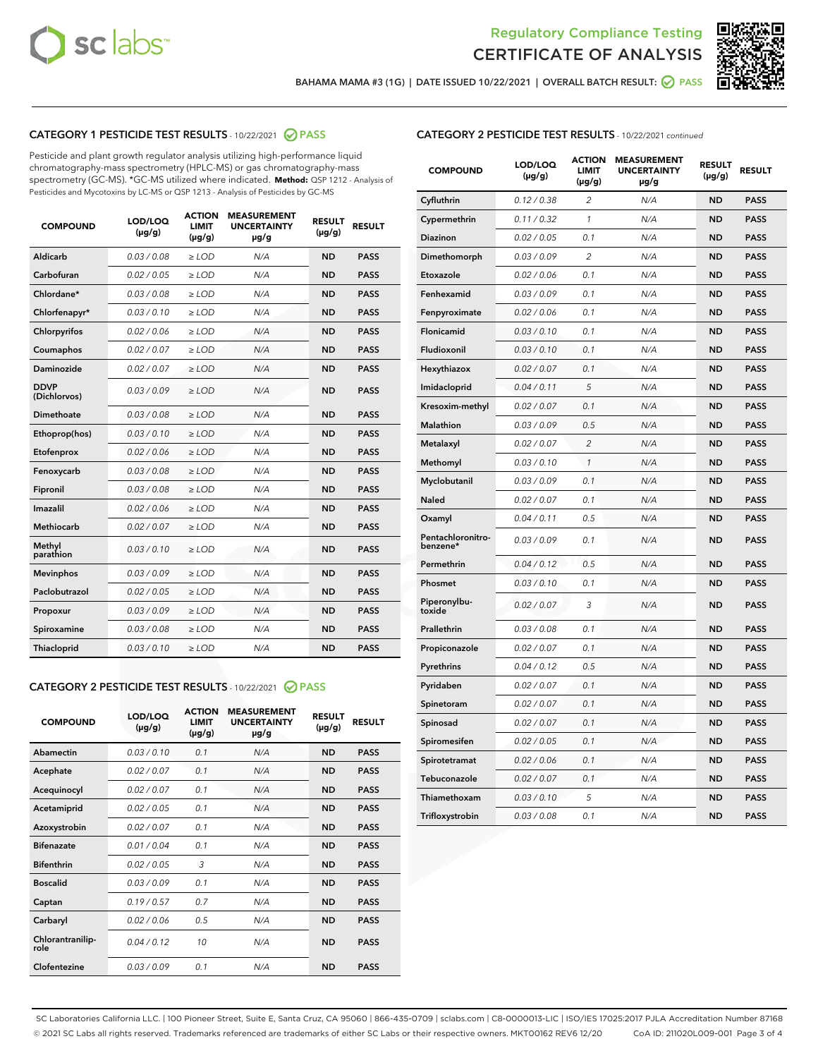



BAHAMA MAMA #3 (1G) | DATE ISSUED 10/22/2021 | OVERALL BATCH RESULT:  $\bigcirc$  PASS

# CATEGORY 1 PESTICIDE TEST RESULTS - 10/22/2021 2 PASS

Pesticide and plant growth regulator analysis utilizing high-performance liquid chromatography-mass spectrometry (HPLC-MS) or gas chromatography-mass spectrometry (GC-MS). \*GC-MS utilized where indicated. **Method:** QSP 1212 - Analysis of Pesticides and Mycotoxins by LC-MS or QSP 1213 - Analysis of Pesticides by GC-MS

| <b>COMPOUND</b>             | LOD/LOQ<br>$(\mu g/g)$ | <b>ACTION</b><br><b>LIMIT</b><br>$(\mu g/g)$ | <b>MEASUREMENT</b><br><b>UNCERTAINTY</b><br>µg/g | <b>RESULT</b><br>$(\mu g/g)$ | <b>RESULT</b> |
|-----------------------------|------------------------|----------------------------------------------|--------------------------------------------------|------------------------------|---------------|
| Aldicarb                    | 0.03 / 0.08            | $\geq$ LOD                                   | N/A                                              | <b>ND</b>                    | <b>PASS</b>   |
| Carbofuran                  | 0.02/0.05              | $\geq$ LOD                                   | N/A                                              | <b>ND</b>                    | <b>PASS</b>   |
| Chlordane*                  | 0.03 / 0.08            | $\ge$ LOD                                    | N/A                                              | <b>ND</b>                    | <b>PASS</b>   |
| Chlorfenapyr*               | 0.03/0.10              | $\ge$ LOD                                    | N/A                                              | <b>ND</b>                    | <b>PASS</b>   |
| Chlorpyrifos                | 0.02 / 0.06            | $\ge$ LOD                                    | N/A                                              | <b>ND</b>                    | <b>PASS</b>   |
| Coumaphos                   | 0.02 / 0.07            | $\ge$ LOD                                    | N/A                                              | <b>ND</b>                    | <b>PASS</b>   |
| Daminozide                  | 0.02 / 0.07            | $\ge$ LOD                                    | N/A                                              | <b>ND</b>                    | <b>PASS</b>   |
| <b>DDVP</b><br>(Dichlorvos) | 0.03/0.09              | $\ge$ LOD                                    | N/A                                              | <b>ND</b>                    | <b>PASS</b>   |
| Dimethoate                  | 0.03/0.08              | $\ge$ LOD                                    | N/A                                              | <b>ND</b>                    | <b>PASS</b>   |
| Ethoprop(hos)               | 0.03/0.10              | $\ge$ LOD                                    | N/A                                              | <b>ND</b>                    | <b>PASS</b>   |
| Etofenprox                  | 0.02 / 0.06            | $\ge$ LOD                                    | N/A                                              | <b>ND</b>                    | <b>PASS</b>   |
| Fenoxycarb                  | 0.03/0.08              | $\ge$ LOD                                    | N/A                                              | <b>ND</b>                    | <b>PASS</b>   |
| Fipronil                    | 0.03 / 0.08            | $\ge$ LOD                                    | N/A                                              | <b>ND</b>                    | <b>PASS</b>   |
| Imazalil                    | 0.02 / 0.06            | $\ge$ LOD                                    | N/A                                              | <b>ND</b>                    | <b>PASS</b>   |
| <b>Methiocarb</b>           | 0.02 / 0.07            | $\ge$ LOD                                    | N/A                                              | <b>ND</b>                    | <b>PASS</b>   |
| Methyl<br>parathion         | 0.03/0.10              | $\ge$ LOD                                    | N/A                                              | <b>ND</b>                    | <b>PASS</b>   |
| <b>Mevinphos</b>            | 0.03/0.09              | $\ge$ LOD                                    | N/A                                              | <b>ND</b>                    | <b>PASS</b>   |
| Paclobutrazol               | 0.02 / 0.05            | $\ge$ LOD                                    | N/A                                              | <b>ND</b>                    | <b>PASS</b>   |
| Propoxur                    | 0.03/0.09              | $\ge$ LOD                                    | N/A                                              | <b>ND</b>                    | <b>PASS</b>   |
| Spiroxamine                 | 0.03/0.08              | $\ge$ LOD                                    | N/A                                              | <b>ND</b>                    | <b>PASS</b>   |
| <b>Thiacloprid</b>          | 0.03/0.10              | $\ge$ LOD                                    | N/A                                              | <b>ND</b>                    | <b>PASS</b>   |
|                             |                        |                                              |                                                  |                              |               |

# CATEGORY 2 PESTICIDE TEST RESULTS - 10/22/2021 @ PASS

| <b>COMPOUND</b>          | LOD/LOO<br>$(\mu g/g)$ | <b>ACTION</b><br>LIMIT<br>$(\mu g/g)$ | <b>MEASUREMENT</b><br><b>UNCERTAINTY</b><br>$\mu$ g/g | <b>RESULT</b><br>$(\mu g/g)$ | <b>RESULT</b> |  |
|--------------------------|------------------------|---------------------------------------|-------------------------------------------------------|------------------------------|---------------|--|
| Abamectin                | 0.03/0.10              | 0.1                                   | N/A                                                   | <b>ND</b>                    | <b>PASS</b>   |  |
| Acephate                 | 0.02/0.07              | 0.1                                   | N/A                                                   | <b>ND</b>                    | <b>PASS</b>   |  |
| Acequinocyl              | 0.02/0.07              | 0.1                                   | N/A                                                   | <b>ND</b>                    | <b>PASS</b>   |  |
| Acetamiprid              | 0.02/0.05              | 0.1                                   | N/A                                                   | <b>ND</b>                    | <b>PASS</b>   |  |
| Azoxystrobin             | 0.02/0.07              | 0.1                                   | N/A                                                   | <b>ND</b>                    | <b>PASS</b>   |  |
| <b>Bifenazate</b>        | 0.01/0.04              | 0.1                                   | N/A                                                   | <b>ND</b>                    | <b>PASS</b>   |  |
| <b>Bifenthrin</b>        | 0.02/0.05              | 3                                     | N/A                                                   | <b>ND</b>                    | <b>PASS</b>   |  |
| <b>Boscalid</b>          | 0.03/0.09              | 0.1                                   | N/A                                                   | <b>ND</b>                    | <b>PASS</b>   |  |
| Captan                   | 0.19/0.57              | 0.7                                   | N/A                                                   | <b>ND</b>                    | <b>PASS</b>   |  |
| Carbaryl                 | 0.02/0.06              | 0.5                                   | N/A                                                   | <b>ND</b>                    | <b>PASS</b>   |  |
| Chlorantranilip-<br>role | 0.04/0.12              | 10                                    | N/A                                                   | <b>ND</b>                    | <b>PASS</b>   |  |
| Clofentezine             | 0.03/0.09              | 0.1                                   | N/A                                                   | <b>ND</b>                    | <b>PASS</b>   |  |

| <b>COMPOUND</b>               | LOD/LOQ<br>(µg/g) | ACTION<br><b>LIMIT</b><br>$(\mu g/g)$ | <b>MEASUREMENT</b><br><b>UNCERTAINTY</b><br>µg/g | <b>RESULT</b><br>(µg/g) | <b>RESULT</b> |
|-------------------------------|-------------------|---------------------------------------|--------------------------------------------------|-------------------------|---------------|
| Cyfluthrin                    | 0.12 / 0.38       | $\overline{c}$                        | N/A                                              | <b>ND</b>               | <b>PASS</b>   |
| Cypermethrin                  | 0.11 / 0.32       | $\mathbf{1}$                          | N/A                                              | <b>ND</b>               | <b>PASS</b>   |
| Diazinon                      | 0.02 / 0.05       | 0.1                                   | N/A                                              | <b>ND</b>               | <b>PASS</b>   |
| Dimethomorph                  | 0.03 / 0.09       | 2                                     | N/A                                              | ND                      | <b>PASS</b>   |
| Etoxazole                     | 0.02 / 0.06       | 0.1                                   | N/A                                              | <b>ND</b>               | <b>PASS</b>   |
| Fenhexamid                    | 0.03 / 0.09       | 0.1                                   | N/A                                              | <b>ND</b>               | <b>PASS</b>   |
| Fenpyroximate                 | 0.02 / 0.06       | 0.1                                   | N/A                                              | ND                      | <b>PASS</b>   |
| Flonicamid                    | 0.03 / 0.10       | 0.1                                   | N/A                                              | <b>ND</b>               | <b>PASS</b>   |
| Fludioxonil                   | 0.03 / 0.10       | 0.1                                   | N/A                                              | <b>ND</b>               | <b>PASS</b>   |
| Hexythiazox                   | 0.02 / 0.07       | 0.1                                   | N/A                                              | <b>ND</b>               | <b>PASS</b>   |
| Imidacloprid                  | 0.04 / 0.11       | 5                                     | N/A                                              | <b>ND</b>               | <b>PASS</b>   |
| Kresoxim-methyl               | 0.02 / 0.07       | 0.1                                   | N/A                                              | <b>ND</b>               | <b>PASS</b>   |
| <b>Malathion</b>              | 0.03 / 0.09       | 0.5                                   | N/A                                              | ND                      | <b>PASS</b>   |
| Metalaxyl                     | 0.02 / 0.07       | $\overline{2}$                        | N/A                                              | <b>ND</b>               | <b>PASS</b>   |
| Methomyl                      | 0.03 / 0.10       | $\mathcal{I}$                         | N/A                                              | <b>ND</b>               | <b>PASS</b>   |
| Myclobutanil                  | 0.03 / 0.09       | 0.1                                   | N/A                                              | <b>ND</b>               | <b>PASS</b>   |
| <b>Naled</b>                  | 0.02 / 0.07       | 0.1                                   | N/A                                              | <b>ND</b>               | <b>PASS</b>   |
| Oxamyl                        | 0.04 / 0.11       | 0.5                                   | N/A                                              | <b>ND</b>               | <b>PASS</b>   |
| Pentachloronitro-<br>benzene* | 0.03 / 0.09       | 0.1                                   | N/A                                              | <b>ND</b>               | <b>PASS</b>   |
| Permethrin                    | 0.04 / 0.12       | 0.5                                   | N/A                                              | <b>ND</b>               | <b>PASS</b>   |
| Phosmet                       | 0.03/0.10         | 0.1                                   | N/A                                              | <b>ND</b>               | <b>PASS</b>   |
| Piperonylbu-<br>toxide        | 0.02 / 0.07       | 3                                     | N/A                                              | <b>ND</b>               | <b>PASS</b>   |
| Prallethrin                   | 0.03 / 0.08       | 0.1                                   | N/A                                              | <b>ND</b>               | <b>PASS</b>   |
| Propiconazole                 | 0.02 / 0.07       | 0.1                                   | N/A                                              | <b>ND</b>               | <b>PASS</b>   |
| Pyrethrins                    | 0.04 / 0.12       | 0.5                                   | N/A                                              | <b>ND</b>               | <b>PASS</b>   |
| Pyridaben                     | 0.02 / 0.07       | 0.1                                   | N/A                                              | <b>ND</b>               | <b>PASS</b>   |
| Spinetoram                    | 0.02 / 0.07       | 0.1                                   | N/A                                              | <b>ND</b>               | <b>PASS</b>   |
| Spinosad                      | 0.02 / 0.07       | 0.1                                   | N/A                                              | <b>ND</b>               | <b>PASS</b>   |
| Spiromesifen                  | 0.02 / 0.05       | 0.1                                   | N/A                                              | ND                      | <b>PASS</b>   |
| Spirotetramat                 | 0.02 / 0.06       | 0.1                                   | N/A                                              | ND                      | <b>PASS</b>   |
| Tebuconazole                  | 0.02 / 0.07       | 0.1                                   | N/A                                              | <b>ND</b>               | <b>PASS</b>   |
| Thiamethoxam                  | 0.03 / 0.10       | 5                                     | N/A                                              | ND                      | <b>PASS</b>   |
| Trifloxystrobin               | 0.03 / 0.08       | 0.1                                   | N/A                                              | ND                      | <b>PASS</b>   |

SC Laboratories California LLC. | 100 Pioneer Street, Suite E, Santa Cruz, CA 95060 | 866-435-0709 | sclabs.com | C8-0000013-LIC | ISO/IES 17025:2017 PJLA Accreditation Number 87168 © 2021 SC Labs all rights reserved. Trademarks referenced are trademarks of either SC Labs or their respective owners. MKT00162 REV6 12/20 CoA ID: 211020L009-001 Page 3 of 4